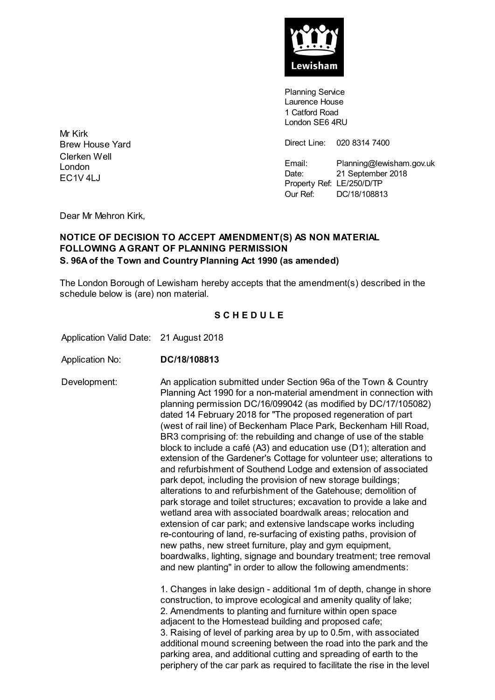

**Planning Service** Laurence House 1 Catford Road London SE6 4RU

Direct Line: 020 8314 7400

Email: Planning@lewisham.gov.uk Date: 21 September 2018 Property Ref: LE/250/D/TP Our Ref: DC/18/108813

Mr Kirk Brew House Yard Clerken Well London EC1V 4LJ

Dear Mr Mehron Kirk,

#### **NOTICE OF DECISION TO ACCEPT AMENDMENT(S) AS NON MATERIAL FOLLOWING A GRANT OF PLANNING PERMISSION S. 96A of the Town and Country Planning Act 1990 (as amended)**

The London Borough of Lewisham hereby accepts that the amendment(s) described in the schedule below is (are) non material.

## **S C H E D U L E**

Application Valid Date: 21 August 2018

Application No: **DC/18/108813**

Development: An application submitted under Section 96a of the Town & Country Planning Act 1990 for a non-material amendment in connection with planning permission DC/16/099042 (as modified by DC/17/105082) dated 14 February 2018 for "The proposed regeneration of part (west of rail line) of Beckenham Place Park, Beckenham Hill Road, BR3 comprising of: the rebuilding and change of use of the stable block to include a café (A3) and education use (D1); alteration and extension of the Gardener's Cottage for volunteer use; alterations to and refurbishment of Southend Lodge and extension of associated park depot, including the provision of new storage buildings; alterations to and refurbishment of the Gatehouse; demolition of park storage and toilet structures; excavation to provide a lake and wetland area with associated boardwalk areas; relocation and extension of car park; and extensive landscape works including re-contouring of land, re-surfacing of existing paths, provision of new paths, new street furniture, play and gym equipment, boardwalks, lighting, signage and boundary treatment; tree removal and new planting" in order to allow the following amendments: 1. Changes in lake design - additional 1m of depth, change in shore

construction, to improve ecological and amenity quality of lake; 2. Amendments to planting and furniture within open space adjacent to the Homestead building and proposed cafe; 3. Raising of level of parking area by up to 0.5m, with associated additional mound screening between the road into the park and the parking area, and additional cutting and spreading of earth to the periphery of the car park as required to facilitate the rise in the level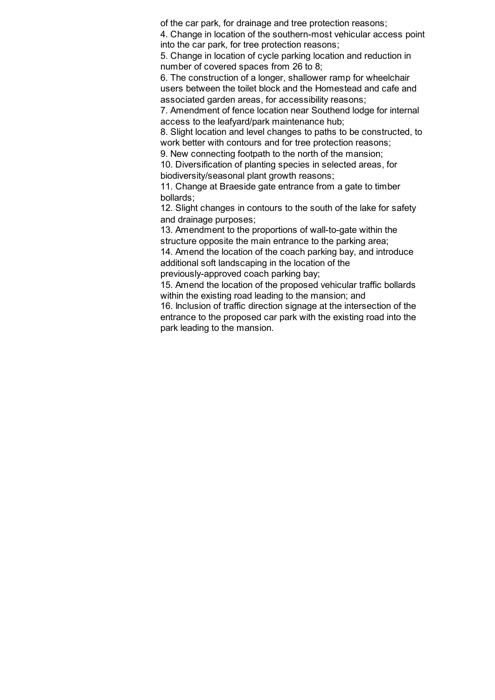of the car park, for drainage and tree protection reasons;

4. Change in location of the southern-most vehicular access point into the car park, for tree protection reasons;

5. Change in location of cycle parking location and reduction in number of covered spaces from 26 to 8;

6. The construction of a longer, shallower ramp for wheelchair users between the toilet block and the Homestead and cafe and associated garden areas, for accessibility reasons;

7. Amendment of fence location near Southend lodge for internal access to the leafyard/park maintenance hub;

8. Slight location and level changes to paths to be constructed, to work better with contours and for tree protection reasons;

9. New connecting footpath to the north of the mansion;

10. Diversification of planting species in selected areas, for biodiversity/seasonal plant growth reasons;

11. Change at Braeside gate entrance from a gate to timber bollards;

12. Slight changes in contours to the south of the lake for safety and drainage purposes;

13. Amendment to the proportions of wall-to-gate within the structure opposite the main entrance to the parking area;

14. Amend the location of the coach parking bay, and introduce additional soft landscaping in the location of the

previously-approved coach parking bay;

15. Amend the location of the proposed vehicular traffic bollards within the existing road leading to the mansion; and

16. Inclusion of traffic direction signage at the intersection of the entrance to the proposed car park with the existing road into the park leading to the mansion.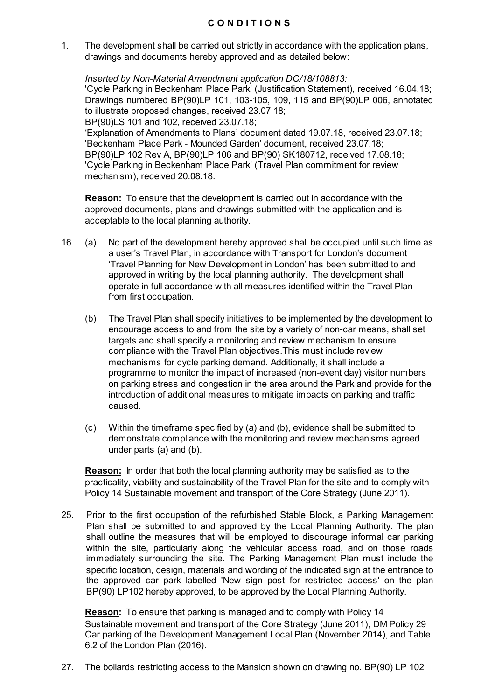1. The development shall be carried out strictly in accordance with the application plans, drawings and documents hereby approved and as detailed below:

*Inserted by Non-Material Amendment application DC/18/108813:*

'Cycle Parking in Beckenham Place Park' (Justification Statement), received 16.04.18; Drawings numbered BP(90)LP 101, 103-105, 109, 115 and BP(90)LP 006, annotated to illustrate proposed changes, received 23.07.18; BP(90)LS 101 and 102, received 23.07.18;

'Explanation of Amendments to Plans' document dated 19.07.18, received 23.07.18; 'Beckenham Place Park - Mounded Garden' document, received 23.07.18; BP(90)LP 102 Rev A, BP(90)LP 106 and BP(90) SK180712, received 17.08.18; 'Cycle Parking in Beckenham Place Park' (Travel Plan commitment for review mechanism), received 20.08.18.

**Reason:** To ensure that the development is carried out in accordance with the approved documents, plans and drawings submitted with the application and is acceptable to the local planning authority.

- 16. (a) No part of the development hereby approved shall be occupied until such time as a user's Travel Plan, in accordance with Transport for London's document 'Travel Planning for New Development in London' has been submitted to and approved in writing by the local planning authority. The development shall operate in full accordance with all measures identified within the Travel Plan from first occupation.
	- (b) The Travel Plan shall specify initiatives to be implemented by the development to encourage access to and from the site by a variety of non-car means, shall set targets and shall specify a monitoring and review mechanism to ensure compliance with the Travel Plan objectives.This must include review mechanisms for cycle parking demand. Additionally, it shall include a programme to monitor the impact of increased (non-event day) visitor numbers on parking stress and congestion in the area around the Park and provide for the introduction of additional measures to mitigate impacts on parking and traffic caused.
	- (c) Within the timeframe specified by (a) and (b), evidence shall be submitted to demonstrate compliance with the monitoring and review mechanisms agreed under parts (a) and (b).

**Reason:** In order that both the local planning authority may be satisfied as to the practicality, viability and sustainability of the Travel Plan for the site and to comply with Policy 14 Sustainable movement and transport of the Core Strategy (June 2011).

25. Prior to the first occupation of the refurbished Stable Block, a Parking Management Plan shall be submitted to and approved by the Local Planning Authority. The plan shall outline the measures that will be employed to discourage informal car parking within the site, particularly along the vehicular access road, and on those roads immediately surrounding the site. The Parking Management Plan must include the specific location, design, materials and wording of the indicated sign at the entrance to the approved car park labelled 'New sign post for restricted access' on the plan BP(90) LP102 hereby approved, to be approved by the Local Planning Authority.

**Reason:** To ensure that parking is managed and to comply with Policy 14 Sustainable movement and transport of the Core Strategy (June 2011), DM Policy 29 Car parking of the Development Management Local Plan (November 2014), and Table 6.2 of the London Plan (2016).

27. The bollards restricting access to the Mansion shown on drawing no. BP(90) LP 102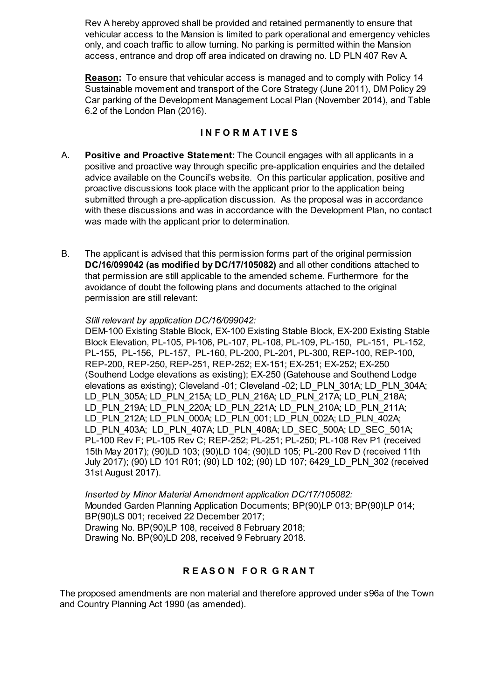Rev A hereby approved shall be provided and retained permanently to ensure that vehicular access to the Mansion is limited to park operational and emergency vehicles only, and coach traffic to allow turning. No parking is permitted within the Mansion access, entrance and drop off area indicated on drawing no. LD PLN 407 Rev A.

**Reason:** To ensure that vehicular access is managed and to comply with Policy 14 Sustainable movement and transport of the Core Strategy (June 2011), DM Policy 29 Car parking of the Development Management Local Plan (November 2014), and Table 6.2 of the London Plan (2016).

## **I N F O R M A T I V E S**

- A. **Positive and Proactive Statement:** The Council engages with all applicants in a positive and proactive way through specific pre-application enquiries and the detailed advice available on the Council's website. On this particular application, positive and proactive discussions took place with the applicant prior to the application being submitted through a pre-application discussion. As the proposal was in accordance with these discussions and was in accordance with the Development Plan, no contact was made with the applicant prior to determination.
- B. The applicant is advised that this permission forms part of the original permission **DC/16/099042 (as modified by DC/17/105082)** and all other conditions attached to that permission are still applicable to the amended scheme. Furthermore for the avoidance of doubt the following plans and documents attached to the original permission are still relevant:

#### *Still relevant by application DC/16/099042:*

DEM-100 Existing Stable Block, EX-100 Existing Stable Block, EX-200 Existing Stable Block Elevation, PL-105, Pl-106, PL-107, PL-108, PL-109, PL-150, PL-151, PL-152, PL-155, PL-156, PL-157, PL-160, PL-200, PL-201, PL-300, REP-100, REP-100, REP-200, REP-250, REP-251, REP-252; EX-151; EX-251; EX-252; EX-250 (Southend Lodge elevations as existing); EX-250 (Gatehouse and Southend Lodge elevations as existing); Cleveland -01; Cleveland -02; LD\_PLN\_301A; LD\_PLN\_304A; LD\_PLN\_305A; LD\_PLN\_215A; LD\_PLN\_216A; LD\_PLN\_217A; LD\_PLN\_218A; LD\_PLN\_219A; LD\_PLN\_220A; LD\_PLN\_221A; LD\_PLN\_210A; LD\_PLN\_211A; LD\_PLN\_212A; LD\_PLN\_000A; LD\_PLN\_001; LD\_PLN\_002A; LD\_PLN\_402A; LD\_PLN\_403A; LD\_PLN\_407A; LD\_PLN\_408A; LD\_SEC\_500A; LD\_SEC\_501A; PL-100 Rev F; PL-105 Rev C; REP-252; PL-251; PL-250; PL-108 Rev P1 (received 15th May 2017); (90)LD 103; (90)LD 104; (90)LD 105; PL-200 Rev D (received 11th July 2017); (90) LD 101 R01; (90) LD 102; (90) LD 107; 6429\_LD\_PLN\_302 (received 31st August 2017).

*Inserted by Minor Material Amendment application DC/17/105082:* Mounded Garden Planning Application Documents; BP(90)LP 013; BP(90)LP 014; BP(90)LS 001; received 22 December 2017; Drawing No. BP(90)LP 108, received 8 February 2018; Drawing No. BP(90)LD 208, received 9 February 2018.

# **R E A S O N F O R G R A N T**

The proposed amendments are non material and therefore approved under s96a of the Town and Country Planning Act 1990 (as amended).